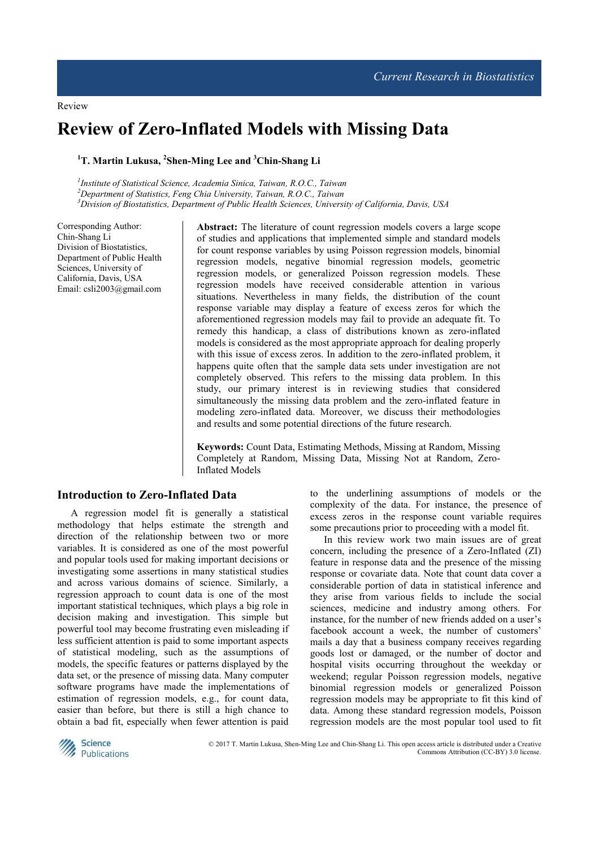# **Review of Zero-Inflated Models with Missing Data**

## **<sup>1</sup>T. Martin Lukusa, <sup>2</sup> Shen-Ming Lee and <sup>3</sup>Chin-Shang Li**

<sup>1</sup> Institute of Statistical Science, Academia Sinica, Taiwan, R.O.C., Taiwan *<sup>2</sup>Department of Statistics, Feng Chia University, Taiwan, R.O.C., Taiwan <sup>3</sup>Division of Biostatistics, Department of Public Health Sciences, University of California, Davis, USA* 

Corresponding Author: Chin-Shang Li Division of Biostatistics, Department of Public Health Sciences, University of California, Davis, USA Email: csli2003@gmail.com **Abstract:** The literature of count regression models covers a large scope of studies and applications that implemented simple and standard models for count response variables by using Poisson regression models, binomial regression models, negative binomial regression models, geometric regression models, or generalized Poisson regression models. These regression models have received considerable attention in various situations. Nevertheless in many fields, the distribution of the count response variable may display a feature of excess zeros for which the aforementioned regression models may fail to provide an adequate fit. To remedy this handicap, a class of distributions known as zero-inflated models is considered as the most appropriate approach for dealing properly with this issue of excess zeros. In addition to the zero-inflated problem, it happens quite often that the sample data sets under investigation are not completely observed. This refers to the missing data problem. In this study, our primary interest is in reviewing studies that considered simultaneously the missing data problem and the zero-inflated feature in modeling zero-inflated data. Moreover, we discuss their methodologies and results and some potential directions of the future research.

**Keywords:** Count Data, Estimating Methods, Missing at Random, Missing Completely at Random, Missing Data, Missing Not at Random, Zero-Inflated Models

## **Introduction to Zero-Inflated Data**

A regression model fit is generally a statistical methodology that helps estimate the strength and direction of the relationship between two or more variables. It is considered as one of the most powerful and popular tools used for making important decisions or investigating some assertions in many statistical studies and across various domains of science. Similarly, a regression approach to count data is one of the most important statistical techniques, which plays a big role in decision making and investigation. This simple but powerful tool may become frustrating even misleading if less sufficient attention is paid to some important aspects of statistical modeling, such as the assumptions of models, the specific features or patterns displayed by the data set, or the presence of missing data. Many computer software programs have made the implementations of estimation of regression models, e.g., for count data, easier than before, but there is still a high chance to obtain a bad fit, especially when fewer attention is paid to the underlining assumptions of models or the complexity of the data. For instance, the presence of excess zeros in the response count variable requires some precautions prior to proceeding with a model fit.

In this review work two main issues are of great concern, including the presence of a Zero-Inflated (ZI) feature in response data and the presence of the missing response or covariate data. Note that count data cover a considerable portion of data in statistical inference and they arise from various fields to include the social sciences, medicine and industry among others. For instance, for the number of new friends added on a user's facebook account a week, the number of customers' mails a day that a business company receives regarding goods lost or damaged, or the number of doctor and hospital visits occurring throughout the weekday or weekend; regular Poisson regression models, negative binomial regression models or generalized Poisson regression models may be appropriate to fit this kind of data. Among these standard regression models, Poisson regression models are the most popular tool used to fit



 © 2017 T. Martin Lukusa, Shen-Ming Lee and Chin-Shang Li. This open access article is distributed under a Creative Commons Attribution (CC-BY) 3.0 license.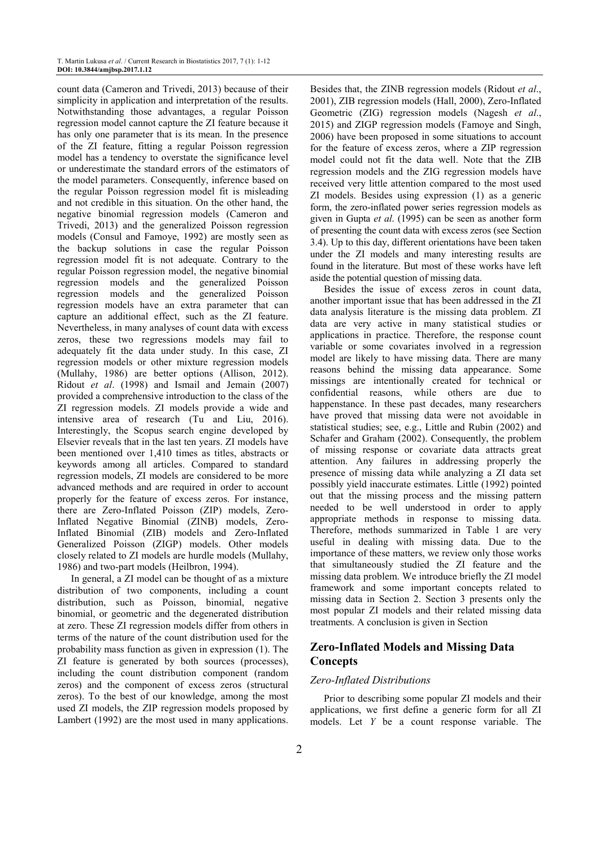count data (Cameron and Trivedi, 2013) because of their simplicity in application and interpretation of the results. Notwithstanding those advantages, a regular Poisson regression model cannot capture the ZI feature because it has only one parameter that is its mean. In the presence of the ZI feature, fitting a regular Poisson regression model has a tendency to overstate the significance level or underestimate the standard errors of the estimators of the model parameters. Consequently, inference based on the regular Poisson regression model fit is misleading and not credible in this situation. On the other hand, the negative binomial regression models (Cameron and Trivedi, 2013) and the generalized Poisson regression models (Consul and Famoye, 1992) are mostly seen as the backup solutions in case the regular Poisson regression model fit is not adequate. Contrary to the regular Poisson regression model, the negative binomial regression models and the generalized Poisson regression models and the generalized Poisson regression models have an extra parameter that can capture an additional effect, such as the ZI feature. Nevertheless, in many analyses of count data with excess zeros, these two regressions models may fail to adequately fit the data under study. In this case, ZI regression models or other mixture regression models (Mullahy, 1986) are better options (Allison, 2012). Ridout *et al*. (1998) and Ismail and Jemain (2007) provided a comprehensive introduction to the class of the ZI regression models. ZI models provide a wide and intensive area of research (Tu and Liu, 2016). Interestingly, the Scopus search engine developed by Elsevier reveals that in the last ten years. ZI models have been mentioned over 1,410 times as titles, abstracts or keywords among all articles. Compared to standard regression models, ZI models are considered to be more advanced methods and are required in order to account properly for the feature of excess zeros. For instance, there are Zero-Inflated Poisson (ZIP) models, Zero-Inflated Negative Binomial (ZINB) models, Zero-Inflated Binomial (ZIB) models and Zero-Inflated Generalized Poisson (ZIGP) models. Other models closely related to ZI models are hurdle models (Mullahy, 1986) and two-part models (Heilbron, 1994).

In general, a ZI model can be thought of as a mixture distribution of two components, including a count distribution, such as Poisson, binomial, negative binomial, or geometric and the degenerated distribution at zero. These ZI regression models differ from others in terms of the nature of the count distribution used for the probability mass function as given in expression (1). The ZI feature is generated by both sources (processes), including the count distribution component (random zeros) and the component of excess zeros (structural zeros). To the best of our knowledge, among the most used ZI models, the ZIP regression models proposed by Lambert (1992) are the most used in many applications.

Besides that, the ZINB regression models (Ridout *et al*., 2001), ZIB regression models (Hall, 2000), Zero-Inflated Geometric (ZIG) regression models (Nagesh *et al*., 2015) and ZIGP regression models (Famoye and Singh, 2006) have been proposed in some situations to account for the feature of excess zeros, where a ZIP regression model could not fit the data well. Note that the ZIB regression models and the ZIG regression models have received very little attention compared to the most used ZI models. Besides using expression (1) as a generic form, the zero-inflated power series regression models as given in Gupta *et al*. (1995) can be seen as another form of presenting the count data with excess zeros (see Section 3.4). Up to this day, different orientations have been taken under the ZI models and many interesting results are found in the literature. But most of these works have left aside the potential question of missing data.

Besides the issue of excess zeros in count data, another important issue that has been addressed in the ZI data analysis literature is the missing data problem. ZI data are very active in many statistical studies or applications in practice. Therefore, the response count variable or some covariates involved in a regression model are likely to have missing data. There are many reasons behind the missing data appearance. Some missings are intentionally created for technical or confidential reasons, while others are due to happenstance. In these past decades, many researchers have proved that missing data were not avoidable in statistical studies; see, e.g., Little and Rubin (2002) and Schafer and Graham (2002). Consequently, the problem of missing response or covariate data attracts great attention. Any failures in addressing properly the presence of missing data while analyzing a ZI data set possibly yield inaccurate estimates. Little (1992) pointed out that the missing process and the missing pattern needed to be well understood in order to apply appropriate methods in response to missing data. Therefore, methods summarized in Table 1 are very useful in dealing with missing data. Due to the importance of these matters, we review only those works that simultaneously studied the ZI feature and the missing data problem. We introduce briefly the ZI model framework and some important concepts related to missing data in Section 2. Section 3 presents only the most popular ZI models and their related missing data treatments. A conclusion is given in Section

## **Zero-Inflated Models and Missing Data Concepts**

## *Zero-Inflated Distributions*

Prior to describing some popular ZI models and their applications, we first define a generic form for all ZI models. Let *Y* be a count response variable. The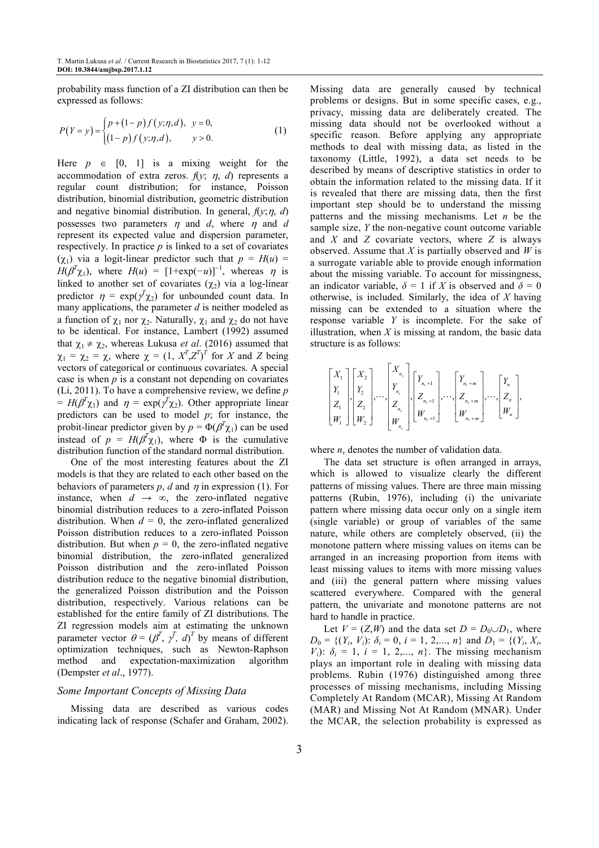probability mass function of a ZI distribution can then be expressed as follows:

$$
P(Y = y) = \begin{cases} p + (1-p)f(y;\eta,d), & y = 0, \\ (1-p)f(y;\eta,d), & y > 0. \end{cases}
$$
 (1)

Here  $p \in [0, 1]$  is a mixing weight for the accommodation of extra zeros.  $f(y; \eta, d)$  represents a regular count distribution; for instance, Poisson distribution, binomial distribution, geometric distribution and negative binomial distribution. In general,  $f(y; \eta, d)$ possesses two parameters  $\eta$  and *d*, where  $\eta$  and *d* represent its expected value and dispersion parameter, respectively. In practice *p* is linked to a set of covariates (χ1) via a logit-linear predictor such that *p* = *H*(*u*) = *H*( $\beta^T \chi_1$ ), where *H*(*u*) = [1+exp(-*u*)]<sup>-1</sup>, whereas  $\eta$  is linked to another set of covariates  $(\chi_2)$  via a log-linear predictor  $\eta = \exp(\gamma^T \chi_2)$  for unbounded count data. In many applications, the parameter *d* is neither modeled as a function of  $\chi_1$  nor  $\chi_2$ . Naturally,  $\chi_1$  and  $\chi_2$  do not have to be identical. For instance, Lambert (1992) assumed that  $\chi_1 \neq \chi_2$ , whereas Lukusa *et al.* (2016) assumed that  $\chi_1 = \chi_2 = \chi$ , where  $\chi = (1, X^T, Z^T)^T$  for *X* and *Z* being vectors of categorical or continuous covariates. A special case is when  $p$  is a constant not depending on covariates (Li, 2011). To have a comprehensive review, we define *p*   $= H(\beta^T \chi_1)$  and  $\eta = \exp(\gamma^T \chi_2)$ . Other appropriate linear predictors can be used to model *p*; for instance, the probit-linear predictor given by  $p = \Phi(\beta^T \chi_1)$  can be used instead of  $p = H(\beta^T \chi_1)$ , where  $\Phi$  is the cumulative distribution function of the standard normal distribution.

One of the most interesting features about the ZI models is that they are related to each other based on the behaviors of parameters  $p$ ,  $d$  and  $\eta$  in expression (1). For instance, when  $d \rightarrow \infty$ , the zero-inflated negative binomial distribution reduces to a zero-inflated Poisson distribution. When  $d = 0$ , the zero-inflated generalized Poisson distribution reduces to a zero-inflated Poisson distribution. But when  $p = 0$ , the zero-inflated negative binomial distribution, the zero-inflated generalized Poisson distribution and the zero-inflated Poisson distribution reduce to the negative binomial distribution, the generalized Poisson distribution and the Poisson distribution, respectively. Various relations can be established for the entire family of ZI distributions. The ZI regression models aim at estimating the unknown parameter vector  $\theta = (\beta^T, \gamma^T, d)^T$  by means of different optimization techniques, such as Newton-Raphson method and expectation-maximization algorithm (Dempster *et al*., 1977).

## *Some Important Concepts of Missing Data*

Missing data are described as various codes indicating lack of response (Schafer and Graham, 2002). Missing data are generally caused by technical problems or designs. But in some specific cases, e.g., privacy, missing data are deliberately created. The missing data should not be overlooked without a specific reason. Before applying any appropriate methods to deal with missing data, as listed in the taxonomy (Little, 1992), a data set needs to be described by means of descriptive statistics in order to obtain the information related to the missing data. If it is revealed that there are missing data, then the first important step should be to understand the missing patterns and the missing mechanisms. Let *n* be the sample size, *Y* the non-negative count outcome variable and *X* and *Z* covariate vectors, where *Z* is always observed. Assume that *X* is partially observed and *W* is a surrogate variable able to provide enough information about the missing variable. To account for missingness, an indicator variable,  $\delta = 1$  if *X* is observed and  $\delta = 0$ otherwise, is included. Similarly, the idea of *X* having missing can be extended to a situation where the response variable *Y* is incomplete. For the sake of illustration, when  $X$  is missing at random, the basic data structure is as follows:

| $\begin{bmatrix} X_1 \\ Y_1 \\ Z_1 \\ W_1 \end{bmatrix} \begin{bmatrix} X_2 \\ Y_2 \\ Z_2 \\ W_2 \end{bmatrix}, \cdots, \begin{bmatrix} X_{n_v} \\ Y_{n_v} \\ Z_{n_v} \\ W_{n_v} \end{bmatrix} \begin{bmatrix} Y_{n_v+1} \\ Z_{n_v+1} \\ W_{n_v+1} \end{bmatrix}, \cdots, \begin{bmatrix} Y_{n_v+m} \\ Z_{n_v+m} \\ W_{n_v+m} \end{bmatrix}, \cdots, \begin{bmatrix} Y_n \\ Z_n \\ W_n \end{bmatrix}$ |  |
|-------------------------------------------------------------------------------------------------------------------------------------------------------------------------------------------------------------------------------------------------------------------------------------------------------------------------------------------------------------------------------------------------------|--|
|-------------------------------------------------------------------------------------------------------------------------------------------------------------------------------------------------------------------------------------------------------------------------------------------------------------------------------------------------------------------------------------------------------|--|

where  $n<sub>v</sub>$  denotes the number of validation data.

The data set structure is often arranged in arrays, which is allowed to visualize clearly the different patterns of missing values. There are three main missing patterns (Rubin, 1976), including (i) the univariate pattern where missing data occur only on a single item (single variable) or group of variables of the same nature, while others are completely observed, (ii) the monotone pattern where missing values on items can be arranged in an increasing proportion from items with least missing values to items with more missing values and (iii) the general pattern where missing values scattered everywhere. Compared with the general pattern, the univariate and monotone patterns are not hard to handle in practice.

Let  $V = (Z,W)$  and the data set  $D = D_0 \cup D_1$ , where  $D_0 = \{(Y_i, V_i): \delta_i = 0, i = 1, 2, ..., n\}$  and  $D_1 = \{(Y_i, X_i, Y_i): i = 1, 2, ..., n\}$ *V*<sub>i</sub>):  $\delta_i = 1$ ,  $i = 1, 2,..., n$ . The missing mechanism plays an important role in dealing with missing data problems. Rubin (1976) distinguished among three processes of missing mechanisms, including Missing Completely At Random (MCAR), Missing At Random (MAR) and Missing Not At Random (MNAR). Under the MCAR, the selection probability is expressed as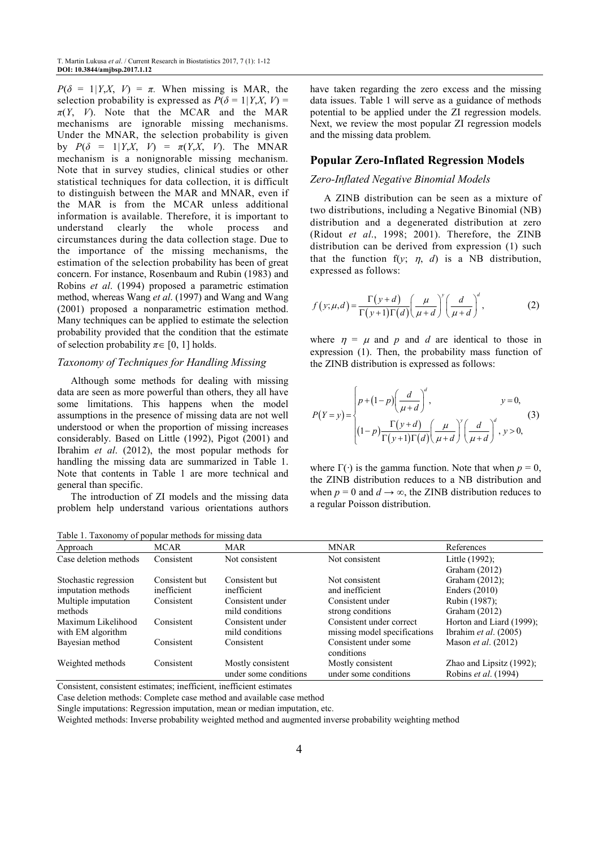*P*( $\delta$  = 1*|Y,X, V)* = *π*. When missing is MAR, the selection probability is expressed as  $P(\delta = 1 | Y, X, V) =$  $\pi(Y, V)$ . Note that the MCAR and the MAR mechanisms are ignorable missing mechanisms. Under the MNAR, the selection probability is given by  $P(\delta = 1 | Y, X, V) = \pi(Y, X, V)$ . The MNAR mechanism is a nonignorable missing mechanism. Note that in survey studies, clinical studies or other statistical techniques for data collection, it is difficult to distinguish between the MAR and MNAR, even if the MAR is from the MCAR unless additional information is available. Therefore, it is important to understand clearly the whole process and circumstances during the data collection stage. Due to the importance of the missing mechanisms, the estimation of the selection probability has been of great concern. For instance, Rosenbaum and Rubin (1983) and Robins *et al*. (1994) proposed a parametric estimation method, whereas Wang *et al*. (1997) and Wang and Wang (2001) proposed a nonparametric estimation method. Many techniques can be applied to estimate the selection probability provided that the condition that the estimate of selection probability  $\pi \in [0, 1]$  holds.

## *Taxonomy of Techniques for Handling Missing*

Although some methods for dealing with missing data are seen as more powerful than others, they all have some limitations. This happens when the model assumptions in the presence of missing data are not well understood or when the proportion of missing increases considerably. Based on Little (1992), Pigot (2001) and Ibrahim *et al*. (2012), the most popular methods for handling the missing data are summarized in Table 1. Note that contents in Table 1 are more technical and general than specific.

The introduction of ZI models and the missing data problem help understand various orientations authors

Table 1. Taxonomy of popular methods for missing data

have taken regarding the zero excess and the missing data issues. Table 1 will serve as a guidance of methods potential to be applied under the ZI regression models. Next, we review the most popular ZI regression models and the missing data problem.

#### **Popular Zero-Inflated Regression Models**

#### *Zero-Inflated Negative Binomial Models*

A ZINB distribution can be seen as a mixture of two distributions, including a Negative Binomial (NB) distribution and a degenerated distribution at zero (Ridout *et al*., 1998; 2001). Therefore, the ZINB distribution can be derived from expression (1) such that the function  $f(y; \eta, d)$  is a NB distribution, expressed as follows:

$$
f(y; \mu, d) = \frac{\Gamma(y + d)}{\Gamma(y + 1)\Gamma(d)} \left(\frac{\mu}{\mu + d}\right)^y \left(\frac{d}{\mu + d}\right)^d,
$$
 (2)

where  $\eta = \mu$  and *p* and *d* are identical to those in expression (1). Then, the probability mass function of the ZINB distribution is expressed as follows:

$$
P(Y = y) = \begin{cases} p + (1-p) \left(\frac{d}{\mu + d}\right)^d, & y = 0, \\ (1-p) \frac{\Gamma(y + d)}{\Gamma(y + 1)\Gamma(d)} \left(\frac{\mu}{\mu + d}\right)^y \left(\frac{d}{\mu + d}\right)^d, & y > 0, \end{cases}
$$
(3)

where  $\Gamma(\cdot)$  is the gamma function. Note that when  $p = 0$ , the ZINB distribution reduces to a NB distribution and when  $p = 0$  and  $d \rightarrow \infty$ , the ZINB distribution reduces to a regular Poisson distribution.

| Approach              | MCAR           | <b>MAR</b>            | <b>MNAR</b>                         | References                 |
|-----------------------|----------------|-----------------------|-------------------------------------|----------------------------|
| Case deletion methods | Consistent     | Not consistent        | Not consistent                      | Little (1992);             |
|                       |                |                       |                                     | Graham $(2012)$            |
| Stochastic regression | Consistent but | Consistent but        | Not consistent                      | Graham $(2012)$ ;          |
| imputation methods    | inefficient    | inefficient           | and inefficient                     | Enders $(2010)$            |
| Multiple imputation   | Consistent     | Consistent under      | Consistent under                    | Rubin (1987);              |
| methods               |                | mild conditions       | strong conditions                   | Graham $(2012)$            |
| Maximum Likelihood    | Consistent     | Consistent under      | Consistent under correct            | Horton and Liard (1999);   |
| with EM algorithm     |                | mild conditions       | missing model specifications        | Ibrahim et al. (2005)      |
| Bayesian method       | Consistent     | Consistent            | Consistent under some<br>conditions | Mason <i>et al.</i> (2012) |
| Weighted methods      | Consistent     | Mostly consistent     | Mostly consistent                   | Zhao and Lipsitz (1992);   |
|                       |                | under some conditions | under some conditions               | Robins et al. (1994)       |

Consistent, consistent estimates; inefficient, inefficient estimates

Case deletion methods: Complete case method and available case method

Single imputations: Regression imputation, mean or median imputation, etc.

Weighted methods: Inverse probability weighted method and augmented inverse probability weighting method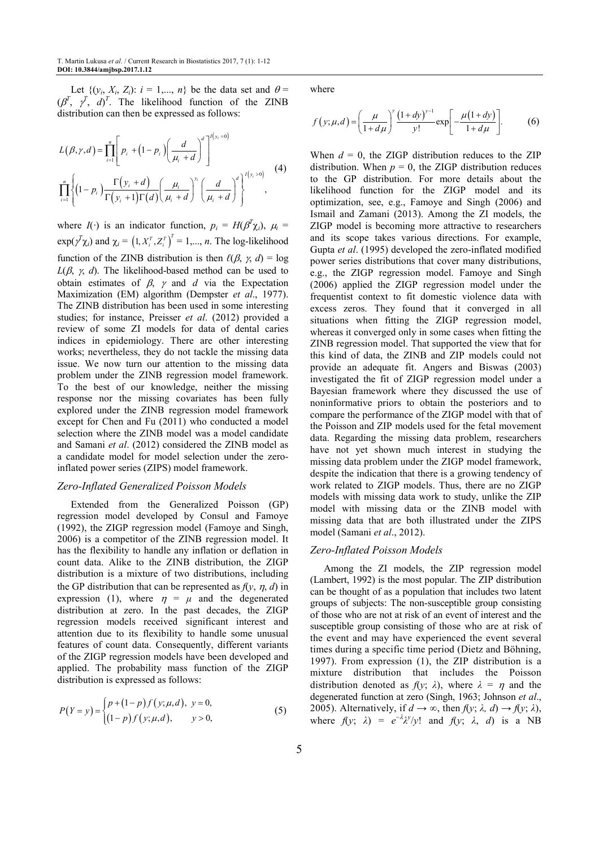Let  $\{(y_i, X_i, Z_i): i = 1, ..., n\}$  be the data set and  $\theta =$  $(\beta^T, \gamma^T, d)^T$ . The likelihood function of the ZINB distribution can then be expressed as follows:

$$
L(\beta, \gamma, d) = \prod_{i=1}^{n} \left[ p_i + (1 - p_i) \left( \frac{d}{\mu_i + d} \right)^d \right]^{1(\gamma_i = 0)}
$$
  

$$
\prod_{i=1}^{n} \left\{ (1 - p_i) \frac{\Gamma(\gamma_i + d)}{\Gamma(\gamma_i + 1)\Gamma(d)} \left( \frac{\mu_i}{\mu_i + d} \right)^{\gamma_i} \left( \frac{d}{\mu_i + d} \right)^d \right\}^{1(\gamma_i > 0)}
$$
 (4)

where  $I(\cdot)$  is an indicator function,  $p_i = H(\beta^T \chi_i)$ ,  $\mu_i =$  $\exp(\sqrt{\gamma} \chi_i)$  and  $\chi_i = (1, X_i^T, Z_i^T)^T = 1, ..., n$ . The log-likelihood function of the ZINB distribution is then  $\ell(\beta, \gamma, d) = \log$  $L(\beta, \gamma, d)$ . The likelihood-based method can be used to obtain estimates of  $\beta$ ,  $\gamma$  and *d* via the Expectation Maximization (EM) algorithm (Dempster *et al*., 1977). The ZINB distribution has been used in some interesting studies; for instance, Preisser *et al*. (2012) provided a review of some ZI models for data of dental caries indices in epidemiology. There are other interesting works; nevertheless, they do not tackle the missing data issue. We now turn our attention to the missing data problem under the ZINB regression model framework. To the best of our knowledge, neither the missing response nor the missing covariates has been fully explored under the ZINB regression model framework except for Chen and Fu (2011) who conducted a model selection where the ZINB model was a model candidate and Samani *et al*. (2012) considered the ZINB model as a candidate model for model selection under the zeroinflated power series (ZIPS) model framework.

#### *Zero-Inflated Generalized Poisson Models*

Extended from the Generalized Poisson (GP) regression model developed by Consul and Famoye (1992), the ZIGP regression model (Famoye and Singh, 2006) is a competitor of the ZINB regression model. It has the flexibility to handle any inflation or deflation in count data. Alike to the ZINB distribution, the ZIGP distribution is a mixture of two distributions, including the GP distribution that can be represented as  $f(y, \eta, d)$  in expression (1), where  $\eta = \mu$  and the degenerated distribution at zero. In the past decades, the ZIGP regression models received significant interest and attention due to its flexibility to handle some unusual features of count data. Consequently, different variants of the ZIGP regression models have been developed and applied. The probability mass function of the ZIGP distribution is expressed as follows:

$$
P(Y = y) = \begin{cases} p + (1-p)f(y;\mu,d), & y = 0, \\ (1-p)f(y;\mu,d), & y > 0, \end{cases}
$$
(5)

where

$$
f(y; \mu, d) = \left(\frac{\mu}{1 + d\mu}\right)^y \frac{\left(1 + dy\right)^{y-1}}{y!} \exp\left[-\frac{\mu(1 + dy)}{1 + d\mu}\right].
$$
 (6)

When  $d = 0$ , the ZIGP distribution reduces to the ZIP distribution. When  $p = 0$ , the ZIGP distribution reduces to the GP distribution. For more details about the likelihood function for the ZIGP model and its optimization, see, e.g., Famoye and Singh (2006) and Ismail and Zamani (2013). Among the ZI models, the ZIGP model is becoming more attractive to researchers and its scope takes various directions. For example, Gupta *et al*. (1995) developed the zero-inflated modified power series distributions that cover many distributions, e.g., the ZIGP regression model. Famoye and Singh (2006) applied the ZIGP regression model under the frequentist context to fit domestic violence data with excess zeros. They found that it converged in all situations when fitting the ZIGP regression model, whereas it converged only in some cases when fitting the ZINB regression model. That supported the view that for this kind of data, the ZINB and ZIP models could not provide an adequate fit. Angers and Biswas (2003) investigated the fit of ZIGP regression model under a Bayesian framework where they discussed the use of noninformative priors to obtain the posteriors and to compare the performance of the ZIGP model with that of the Poisson and ZIP models used for the fetal movement data. Regarding the missing data problem, researchers have not yet shown much interest in studying the missing data problem under the ZIGP model framework, despite the indication that there is a growing tendency of work related to ZIGP models. Thus, there are no ZIGP models with missing data work to study, unlike the ZIP model with missing data or the ZINB model with missing data that are both illustrated under the ZIPS model (Samani *et al*., 2012).

#### *Zero-Inflated Poisson Models*

Among the ZI models, the ZIP regression model (Lambert, 1992) is the most popular. The ZIP distribution can be thought of as a population that includes two latent groups of subjects: The non-susceptible group consisting of those who are not at risk of an event of interest and the susceptible group consisting of those who are at risk of the event and may have experienced the event several times during a specific time period (Dietz and Böhning, 1997). From expression (1), the ZIP distribution is a mixture distribution that includes the Poisson distribution denoted as  $f(y; \lambda)$ , where  $\lambda = \eta$  and the degenerated function at zero (Singh, 1963; Johnson *et al*., 2005). Alternatively, if  $d \rightarrow \infty$ , then  $f(y; \lambda, d) \rightarrow f(y; \lambda)$ , where  $f(y; \lambda) = e^{-\lambda} \lambda^{y} / y!$  and  $f(y; \lambda, d)$  is a NB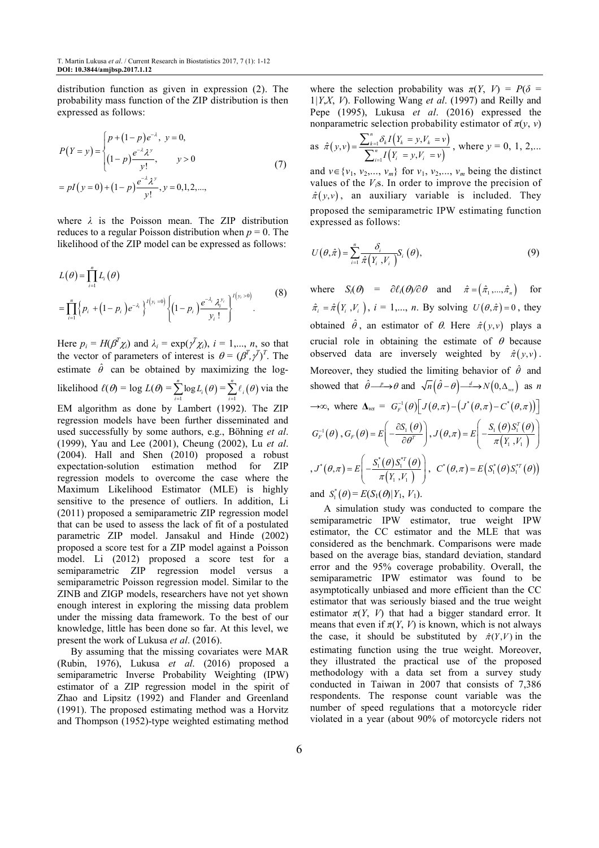distribution function as given in expression (2). The probability mass function of the ZIP distribution is then expressed as follows:

$$
P(Y = y) = \begin{cases} p + (1-p)e^{-\lambda}, & y = 0, \\ (1-p)\frac{e^{-\lambda}\lambda^y}{y!}, & y > 0 \end{cases}
$$
  
=  $pI(y = 0) + (1-p)\frac{e^{-\lambda}\lambda^y}{y!}, y = 0, 1, 2, ...,$  (7)

where *λ* is the Poisson mean. The ZIP distribution reduces to a regular Poisson distribution when *p* = 0. The likelihood of the ZIP model can be expressed as follows:

$$
L(\theta) = \prod_{i=1}^{n} L_i(\theta)
$$
  
= 
$$
\prod_{i=1}^{n} \left\{ p_i + (1 - p_i) e^{-\lambda_i} \right\}^{I(y_i = 0)} \left\{ (1 - p_i) \frac{e^{-\lambda_i} \lambda_i^{y_i}}{y_i!} \right\}^{I(y_i > 0)}
$$
 (8)

Here  $p_i = H(\beta^T \chi_i)$  and  $\lambda_i = \exp(\gamma^T \chi_i)$ ,  $i = 1,..., n$ , so that the vector of parameters of interest is  $\theta = (\beta^T, \gamma^T)^T$ . The estimate  $\hat{\theta}$  can be obtained by maximizing the loglikelihood  $\ell(\theta) = \log L(\theta) = \sum_{i=1}^{n} \log L_i(\theta)$  $\sum_{i=1}^{\infty} \log L_i(\theta) = \sum_{i=1}^{\infty} \ell_i(\theta)$ *n*  $\sum_{i=1}^{k}$ θ  $\sum_{i=1} \ell_i(\theta)$  via the

EM algorithm as done by Lambert (1992). The ZIP regression models have been further disseminated and used successfully by some authors, e.g., Böhning *et al*. (1999), Yau and Lee (2001), Cheung (2002), Lu *et al*. (2004). Hall and Shen (2010) proposed a robust expectation-solution estimation method for ZIP regression models to overcome the case where the Maximum Likelihood Estimator (MLE) is highly sensitive to the presence of outliers. In addition, Li (2011) proposed a semiparametric ZIP regression model that can be used to assess the lack of fit of a postulated parametric ZIP model. Jansakul and Hinde (2002) proposed a score test for a ZIP model against a Poisson model. Li (2012) proposed a score test for a semiparametric ZIP regression model versus a semiparametric Poisson regression model. Similar to the ZINB and ZIGP models, researchers have not yet shown enough interest in exploring the missing data problem under the missing data framework. To the best of our knowledge, little has been done so far. At this level, we present the work of Lukusa *et al*. (2016).

By assuming that the missing covariates were MAR (Rubin, 1976), Lukusa *et al*. (2016) proposed a semiparametric Inverse Probability Weighting (IPW) estimator of a ZIP regression model in the spirit of Zhao and Lipsitz (1992) and Flander and Greenland (1991). The proposed estimating method was a Horvitz and Thompson (1952)-type weighted estimating method

where the selection probability was  $\pi(Y, V) = P(\delta =$ 1*|Y*,*X*, *V*). Following Wang *et al*. (1997) and Reilly and Pepe (1995), Lukusa *et al*. (2016) expressed the nonparametric selection probability estimator of  $\pi(y, y)$ 

as 
$$
\hat{\pi}(y, v) = \frac{\sum_{k=1}^{n} \delta_k I(Y_k = y, V_k = v)}{\sum_{i=1}^{n} I(Y_i = y, V_i = v)},
$$
 where  $y = 0, 1, 2,...$ 

and  $v \in \{v_1, v_2, \ldots, v_m\}$  for  $v_1, v_2, \ldots, v_m$  being the distinct values of the *Vi*s. In order to improve the precision of  $\hat{\pi}(y, y)$ , an auxiliary variable is included. They proposed the semiparametric IPW estimating function expressed as follows:

$$
U(\theta,\hat{\pi}) = \sum_{i=1}^{n} \frac{\delta_i}{\hat{\pi}(Y_i,V_i)} S_i(\theta),
$$
\n(9)

where  $S_i(\theta) = \partial \ell_i(\theta) / \partial \theta$  and  $\hat{\pi} = (\hat{\pi}_1, ..., \hat{\pi}_n)$  for  $\hat{\pi}_i = \hat{\pi}(Y_i, V_i)$ ,  $i = 1,..., n$ . By solving  $U(\theta, \hat{\pi}) = 0$ , they obtained  $\hat{\theta}$ , an estimator of  $\theta$ . Here  $\hat{\pi}(y, y)$  plays a crucial role in obtaining the estimate of  $\theta$  because observed data are inversely weighted by  $\hat{\pi}(y, y)$ . Moreover, they studied the limiting behavior of  $\hat{\theta}$  and showed that  $\hat{\theta} \longrightarrow \theta$  and  $\sqrt{n} (\hat{\theta} - \theta) \longrightarrow N(0, \Delta_{ws})$  as *n*  $\rightarrow \infty$ , where  $\Delta_{ws} = G_F^{-1}(\theta) \Big[ J(\theta, \pi) - (J^*(\theta, \pi) - C^*(\theta, \pi)) \Big]$  $G_F^{-1}(\theta)$ ,  $G_F(\theta) = E\left(-\frac{\partial S_1(\theta)}{\partial \theta^T}\right)$  $G_F(\theta) = E \left(-\frac{\partial S_1 \left(\theta \right.}{\partial \theta^T}\right)$  $= E\left(-\frac{\partial S_1(\theta)}{\partial \theta^T}\right)$  $J(\theta, \pi) = E\left(-\frac{S_1(\theta)S_1^T(\theta)}{(S_1 - K_2)}\right)$  $\frac{1}{\pi(Y_1, V_1)}$  $1$ ,  $1$  $f(\pi) = E\left(-\frac{\sum_{i=1}^{n} (S_i - S_i)}{\pi(Y_i)},\right)$  $J(\theta, \pi) = E\left(-\frac{S_1(\theta)S_1^T}{\pi(Y_1, Y_1)}\right)$  $(\theta, \pi) = E \left[ -\frac{S_1(\theta)S_1^T(\theta)}{\pi(Y_1, Y_2)} \right]$  $= E\left[-\frac{S_1(\theta)S_1^T(\theta)}{S_1^T(\theta)}\right]$  $($   $\mu$  $($  $I_1$ , $\frac{V_1}{V_1})$   $)$  $, J^*(\theta, \pi) = E \left( -\frac{S_1^*(\theta) S_1^{*T}(\theta)}{(W, W)} \right)$  $\overline{\left( Y_{1},V_{1}\right) }$ \* $(S_1^*(\theta)S_1^*(\theta)S_1^*)$  $1, '1$  $f(\pi) = E\left(-\frac{\pi_1(\pi) - \pi_2}{\pi(Y_1)}\right)$  $J^*(\theta, \pi) = E\left(-\frac{S_1^*(\theta)S_1^{*T}}{\pi(Y_1, Y_1)}\right)$  $(\theta, \pi) = E \left[ -\frac{S_1^*(\theta) S_1^{*T}(\theta)}{\pi(Y_1, Y_2)} \right]$  $= E\left[-\frac{S_1^*(\theta)S_1^{*T}(\theta)}{(\theta)}\right]$  $($   $\pi(I_1, V_1)$  )  $C^*(\theta, \pi) = E(S_1^*(\theta)S_1^{*T}(\theta))$ 

and  $S_1^*(\theta) = E(S_1(\theta)|Y_1, V_1)$ .

A simulation study was conducted to compare the semiparametric IPW estimator, true weight IPW estimator, the CC estimator and the MLE that was considered as the benchmark. Comparisons were made based on the average bias, standard deviation, standard error and the 95% coverage probability. Overall, the semiparametric IPW estimator was found to be asymptotically unbiased and more efficient than the CC estimator that was seriously biased and the true weight estimator  $\pi(Y, V)$  that had a bigger standard error. It means that even if  $\pi(Y, V)$  is known, which is not always the case, it should be substituted by  $\hat{\pi}(Y, V)$  in the estimating function using the true weight. Moreover, they illustrated the practical use of the proposed methodology with a data set from a survey study conducted in Taiwan in 2007 that consists of 7,386 respondents. The response count variable was the number of speed regulations that a motorcycle rider violated in a year (about 90% of motorcycle riders not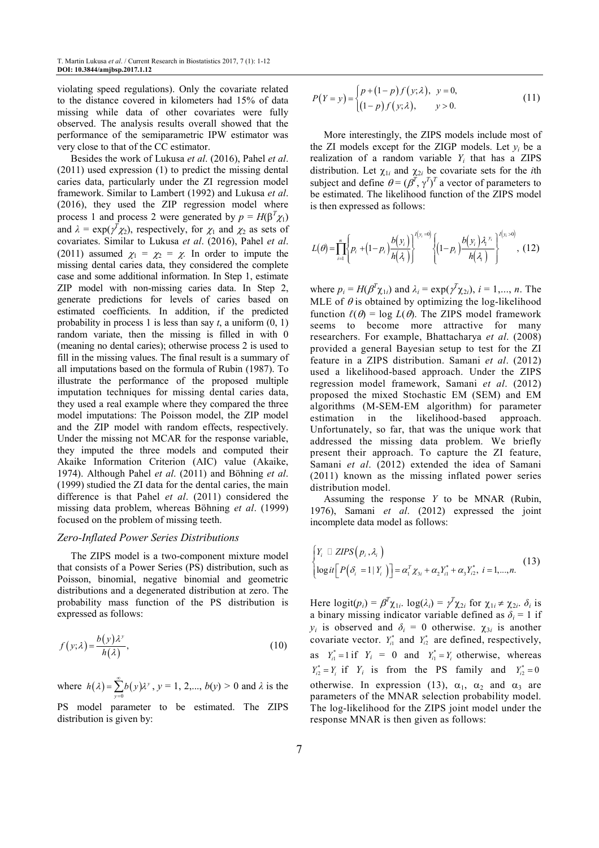violating speed regulations). Only the covariate related to the distance covered in kilometers had 15% of data missing while data of other covariates were fully observed. The analysis results overall showed that the performance of the semiparametric IPW estimator was very close to that of the CC estimator.

Besides the work of Lukusa *et al*. (2016), Pahel *et al*. (2011) used expression (1) to predict the missing dental caries data, particularly under the ZI regression model framework. Similar to Lambert (1992) and Lukusa *et al*. (2016), they used the ZIP regression model where process 1 and process 2 were generated by  $p = H(\beta^T \chi_1)$ and  $\lambda = \exp(\gamma^T \chi_2)$ , respectively, for  $\chi_1$  and  $\chi_2$  as sets of covariates. Similar to Lukusa *et al*. (2016), Pahel *et al*. (2011) assumed  $\chi_1 = \chi_2 = \chi$ . In order to impute the missing dental caries data, they considered the complete case and some additional information. In Step 1, estimate ZIP model with non-missing caries data. In Step 2, generate predictions for levels of caries based on estimated coefficients. In addition, if the predicted probability in process 1 is less than say  $t$ , a uniform  $(0, 1)$ random variate, then the missing is filled in with 0 (meaning no dental caries); otherwise process 2 is used to fill in the missing values. The final result is a summary of all imputations based on the formula of Rubin (1987). To illustrate the performance of the proposed multiple imputation techniques for missing dental caries data, they used a real example where they compared the three model imputations: The Poisson model, the ZIP model and the ZIP model with random effects, respectively. Under the missing not MCAR for the response variable, they imputed the three models and computed their Akaike Information Criterion (AIC) value (Akaike, 1974). Although Pahel *et al*. (2011) and Böhning *et al*. (1999) studied the ZI data for the dental caries, the main difference is that Pahel *et al*. (2011) considered the missing data problem, whereas Böhning *et al*. (1999) focused on the problem of missing teeth.

#### *Zero-Inflated Power Series Distributions*

The ZIPS model is a two-component mixture model that consists of a Power Series (PS) distribution, such as Poisson, binomial, negative binomial and geometric distributions and a degenerated distribution at zero. The probability mass function of the PS distribution is expressed as follows:

$$
f(y; \lambda) = \frac{b(y)\lambda^y}{h(\lambda)},
$$
\n(10)

where  $h(\lambda) = \sum_{y=0} b(y)\lambda$ *y*  $h(\lambda) = \sum_{y=0}^{\infty} b(y) \lambda^y$  $=\sum_{y=0} b(y)\lambda^y$ ,  $y = 1, 2,..., b(y) > 0$  and  $\lambda$  is the PS model parameter to be estimated. The ZIPS

distribution is given by:

$$
P(Y = y) = \begin{cases} p + (1-p)f(y; \lambda), & y = 0, \\ (1-p)f(y; \lambda), & y > 0. \end{cases}
$$
 (11)

More interestingly, the ZIPS models include most of the ZI models except for the ZIGP models. Let  $y_i$  be a realization of a random variable  $Y_i$  that has a ZIPS distribution. Let  $\chi_{1i}$  and  $\chi_{2i}$  be covariate sets for the *i*th subject and define  $\theta = (\beta^T, \gamma^T)^T$  a vector of parameters to be estimated. The likelihood function of the ZIPS model is then expressed as follows:

$$
L(\theta) = \prod_{i=1}^{n} \left\{ p_i + (1-p_i) \frac{b(y_i)}{h(\lambda_i)} \right\}^{\prime (y_i = 0)} \left\{ (1-p_i) \frac{b(y_i) \lambda_i^{y_i}}{h(\lambda_i)} \right\}^{\prime (y_i > 0)}, (12)
$$

where  $p_i = H(\beta^T \chi_{1i})$  and  $\lambda_i = \exp(\gamma^T \chi_{2i})$ ,  $i = 1,..., n$ . The MLE of  $\theta$  is obtained by optimizing the log-likelihood function  $\ell(\theta) = \log L(\theta)$ . The ZIPS model framework seems to become more attractive for many researchers. For example, Bhattacharya *et al*. (2008) provided a general Bayesian setup to test for the ZI feature in a ZIPS distribution. Samani *et al*. (2012) used a likelihood-based approach. Under the ZIPS regression model framework, Samani *et al*. (2012) proposed the mixed Stochastic EM (SEM) and EM algorithms (M-SEM-EM algorithm) for parameter estimation in the likelihood-based approach. Unfortunately, so far, that was the unique work that addressed the missing data problem. We briefly present their approach. To capture the ZI feature, Samani *et al*. (2012) extended the idea of Samani (2011) known as the missing inflated power series distribution model.

Assuming the response *Y* to be MNAR (Rubin, 1976), Samani *et al*. (2012) expressed the joint incomplete data model as follows:

$$
\begin{cases}\nY_i \square \text{ ZIPS}\left(p_i, \lambda_i\right) \\
\logit\left[P\left(\delta_i = 1 | Y_i\right)\right] = \alpha_1^T \chi_{3i} + \alpha_2 Y_{i1}^* + \alpha_3 Y_{i2}^*, \ i = 1, ..., n.\n\end{cases} \tag{13}
$$

Here  $logit(p_i) = \beta^T \chi_{1i}$ .  $log(\lambda_i) = \gamma^T \chi_{2i}$  for  $\chi_{1i} \neq \chi_{2i}$ .  $\delta_i$  is a binary missing indicator variable defined as  $\delta_i = 1$  if *y*<sup>*i*</sup> is observed and  $\delta$ <sup>*i*</sup> = 0 otherwise.  $\chi$ <sub>3*i*</sub> is another covariate vector.  $Y_{i1}^*$  and  $Y_{i2}^*$  are defined, respectively, as  $Y_{i1}^* = 1$  if  $Y_i = 0$  and  $Y_{i1}^* = Y_i$  otherwise, whereas  $Y_{i2}^* = Y_i$  if  $Y_i$  is from the PS family and  $Y_{i2}^* = 0$ otherwise. In expression (13),  $\alpha_1$ ,  $\alpha_2$  and  $\alpha_3$  are parameters of the MNAR selection probability model. The log-likelihood for the ZIPS joint model under the response MNAR is then given as follows: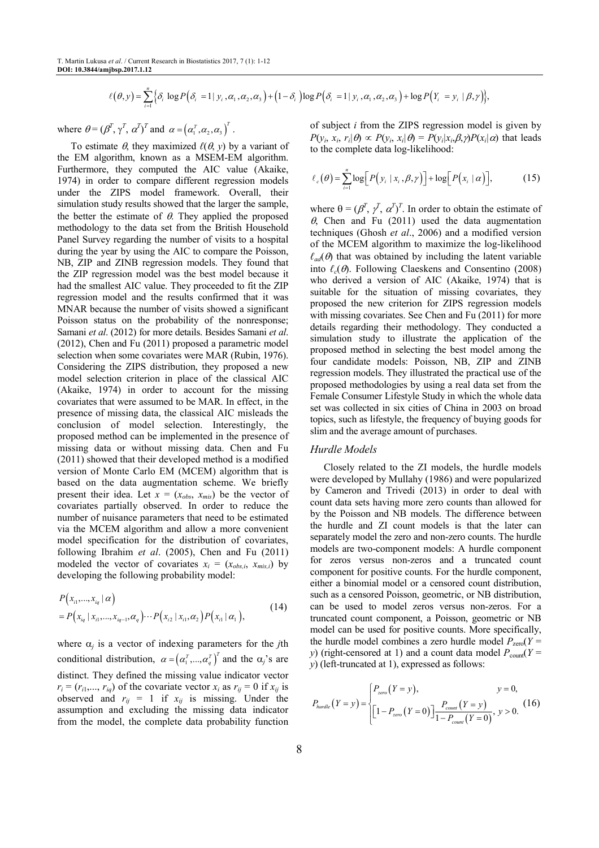$$
\ell(\theta, y) = \sum_{i=1}^n \Big\{ \delta_i \log P\Big( \delta_i = 1 \mid y_i, \alpha_1, \alpha_2, \alpha_3\Big) + \Big(1 - \delta_i \Big) \log P\Big( \delta_i = 1 \mid y_i, \alpha_1, \alpha_2, \alpha_3\Big) + \log P\Big( Y_i = y_i \mid \beta, \gamma \Big) \Big\},
$$

where  $\theta = (\beta^T, \gamma^T, \alpha^T)^T$  and  $\alpha = (\alpha_1^T, \alpha_2, \alpha_3)^T$ .

To estimate  $\theta$ , they maximized  $\ell(\theta, y)$  by a variant of the EM algorithm, known as a MSEM-EM algorithm. Furthermore, they computed the AIC value (Akaike, 1974) in order to compare different regression models under the ZIPS model framework. Overall, their simulation study results showed that the larger the sample, the better the estimate of  $\theta$ . They applied the proposed methodology to the data set from the British Household Panel Survey regarding the number of visits to a hospital during the year by using the AIC to compare the Poisson, NB, ZIP and ZINB regression models. They found that the ZIP regression model was the best model because it had the smallest AIC value. They proceeded to fit the ZIP regression model and the results confirmed that it was MNAR because the number of visits showed a significant Poisson status on the probability of the nonresponse; Samani *et al*. (2012) for more details. Besides Samani *et al*. (2012), Chen and Fu (2011) proposed a parametric model selection when some covariates were MAR (Rubin, 1976). Considering the ZIPS distribution, they proposed a new model selection criterion in place of the classical AIC (Akaike, 1974) in order to account for the missing covariates that were assumed to be MAR. In effect, in the presence of missing data, the classical AIC misleads the conclusion of model selection. Interestingly, the proposed method can be implemented in the presence of missing data or without missing data. Chen and Fu (2011) showed that their developed method is a modified version of Monte Carlo EM (MCEM) algorithm that is based on the data augmentation scheme. We briefly present their idea. Let  $x = (x_{obs}, x_{mis})$  be the vector of covariates partially observed. In order to reduce the number of nuisance parameters that need to be estimated via the MCEM algorithm and allow a more convenient model specification for the distribution of covariates, following Ibrahim *et al*. (2005), Chen and Fu (2011) modeled the vector of covariates  $x_i = (x_{obs,i}, x_{mis,i})$  by developing the following probability model:

$$
P(x_{i1},...,x_{iq} | \alpha)
$$
  
=  $P(x_{iq} | x_{i1},...,x_{iq-1}, \alpha_q) \cdots P(x_{i2} | x_{i1}, \alpha_2) P(x_{i1} | \alpha_1),$  (14)

where  $\alpha_j$  is a vector of indexing parameters for the *j*th conditional distribution,  $\alpha = (\alpha_1^T, ..., \alpha_q^T)^T$  and the  $\alpha_j$ 's are distinct. They defined the missing value indicator vector  $r_i = (r_{i1}, \ldots, r_{iq})$  of the covariate vector  $x_i$  as  $r_{ij} = 0$  if  $x_{ij}$  is observed and  $r_{ij} = 1$  if  $x_{ij}$  is missing. Under the assumption and excluding the missing data indicator from the model, the complete data probability function

of subject *i* from the ZIPS regression model is given by  $P(y_i, x_i, r_i | \theta) \propto P(y_i, x_i | \theta) = P(y_i | x_i, \beta, \gamma) P(x_i | \alpha)$  that leads to the complete data log-likelihood:

$$
\ell_c(\theta) = \sum_{i=1}^n \log \Big[ P(y_i \mid x_i, \beta, \gamma) \Big] + \log \Big[ P(x_i \mid \alpha) \Big], \tag{15}
$$

where  $\theta = (\beta^T, \gamma^T, \alpha^T)^T$ . In order to obtain the estimate of  $\theta$ , Chen and Fu (2011) used the data augmentation techniques (Ghosh *et al*., 2006) and a modified version of the MCEM algorithm to maximize the log-likelihood  $\ell_{ad}(\theta)$  that was obtained by including the latent variable into  $\ell_c(\theta)$ . Following Claeskens and Consentino (2008) who derived a version of AIC (Akaike, 1974) that is suitable for the situation of missing covariates, they proposed the new criterion for ZIPS regression models with missing covariates. See Chen and Fu (2011) for more details regarding their methodology. They conducted a simulation study to illustrate the application of the proposed method in selecting the best model among the four candidate models: Poisson, NB, ZIP and ZINB regression models. They illustrated the practical use of the proposed methodologies by using a real data set from the Female Consumer Lifestyle Study in which the whole data set was collected in six cities of China in 2003 on broad topics, such as lifestyle, the frequency of buying goods for slim and the average amount of purchases.

#### *Hurdle Models*

Closely related to the ZI models, the hurdle models were developed by Mullahy (1986) and were popularized by Cameron and Trivedi (2013) in order to deal with count data sets having more zero counts than allowed for by the Poisson and NB models. The difference between the hurdle and ZI count models is that the later can separately model the zero and non-zero counts. The hurdle models are two-component models: A hurdle component for zeros versus non-zeros and a truncated count component for positive counts. For the hurdle component, either a binomial model or a censored count distribution, such as a censored Poisson, geometric, or NB distribution, can be used to model zeros versus non-zeros. For a truncated count component, a Poisson, geometric or NB model can be used for positive counts. More specifically, the hurdle model combines a zero hurdle model  $P_{\text{zero}}(Y =$ *y*) (right-censored at 1) and a count data model  $P_{\text{count}}(Y =$ *y*) (left-truncated at 1), expressed as follows:

$$
P_{\text{hurdle}}(Y = y) = \begin{cases} P_{\text{zero}}(Y = y), & y = 0, \\ \left[1 - P_{\text{zero}}(Y = 0)\right] \frac{P_{\text{count}}(Y = y)}{1 - P_{\text{count}}(Y = 0)}, & y > 0. \end{cases}
$$
(16)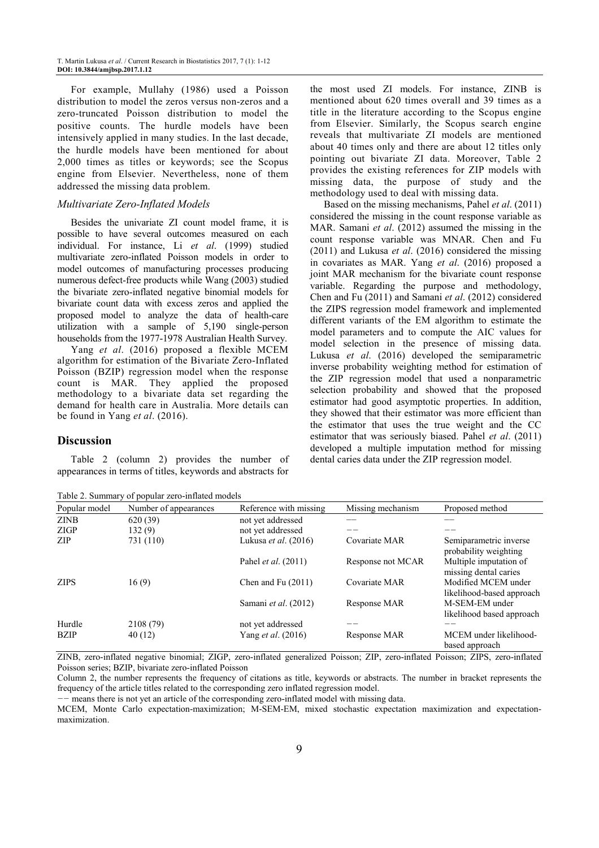For example, Mullahy (1986) used a Poisson distribution to model the zeros versus non-zeros and a zero-truncated Poisson distribution to model the positive counts. The hurdle models have been intensively applied in many studies. In the last decade, the hurdle models have been mentioned for about 2,000 times as titles or keywords; see the Scopus engine from Elsevier. Nevertheless, none of them addressed the missing data problem.

#### *Multivariate Zero-Inflated Models*

Besides the univariate ZI count model frame, it is possible to have several outcomes measured on each individual. For instance, Li *et al*. (1999) studied multivariate zero-inflated Poisson models in order to model outcomes of manufacturing processes producing numerous defect-free products while Wang (2003) studied the bivariate zero-inflated negative binomial models for bivariate count data with excess zeros and applied the proposed model to analyze the data of health-care utilization with a sample of 5,190 single-person households from the 1977-1978 Australian Health Survey.

Yang *et al*. (2016) proposed a flexible MCEM algorithm for estimation of the Bivariate Zero-Inflated Poisson (BZIP) regression model when the response count is MAR. They applied the proposed methodology to a bivariate data set regarding the demand for health care in Australia. More details can be found in Yang *et al*. (2016).

## **Discussion**

Table 2 (column 2) provides the number of appearances in terms of titles, keywords and abstracts for

Table 2. Summary of popular zero-inflated models

the most used ZI models. For instance, ZINB is mentioned about 620 times overall and 39 times as a title in the literature according to the Scopus engine from Elsevier. Similarly, the Scopus search engine reveals that multivariate ZI models are mentioned about 40 times only and there are about 12 titles only pointing out bivariate ZI data. Moreover, Table 2 provides the existing references for ZIP models with missing data, the purpose of study and the methodology used to deal with missing data.

Based on the missing mechanisms, Pahel *et al*. (2011) considered the missing in the count response variable as MAR. Samani *et al*. (2012) assumed the missing in the count response variable was MNAR. Chen and Fu (2011) and Lukusa *et al*. (2016) considered the missing in covariates as MAR. Yang *et al*. (2016) proposed a joint MAR mechanism for the bivariate count response variable. Regarding the purpose and methodology, Chen and Fu (2011) and Samani *et al*. (2012) considered the ZIPS regression model framework and implemented different variants of the EM algorithm to estimate the model parameters and to compute the AIC values for model selection in the presence of missing data. Lukusa *et al*. (2016) developed the semiparametric inverse probability weighting method for estimation of the ZIP regression model that used a nonparametric selection probability and showed that the proposed estimator had good asymptotic properties. In addition, they showed that their estimator was more efficient than the estimator that uses the true weight and the CC estimator that was seriously biased. Pahel *et al*. (2011) developed a multiple imputation method for missing dental caries data under the ZIP regression model.

| $\frac{1}{2}$ |                       |                             |                   |                                                  |  |  |
|---------------|-----------------------|-----------------------------|-------------------|--------------------------------------------------|--|--|
| Popular model | Number of appearances | Reference with missing      | Missing mechanism | Proposed method                                  |  |  |
| <b>ZINB</b>   | 620(39)               | not yet addressed           |                   |                                                  |  |  |
| ZIGP          | 132(9)                | not yet addressed           |                   |                                                  |  |  |
| ZIP           | 731 (110)             | Lukusa <i>et al.</i> (2016) | Covariate MAR     | Semiparametric inverse<br>probability weighting  |  |  |
|               |                       | Pahel <i>et al.</i> (2011)  | Response not MCAR | Multiple imputation of<br>missing dental caries  |  |  |
| <b>ZIPS</b>   | 16(9)                 | Chen and Fu $(2011)$        | Covariate MAR     | Modified MCEM under<br>likelihood-based approach |  |  |
|               |                       | Samani et al. (2012)        | Response MAR      | M-SEM-EM under<br>likelihood based approach      |  |  |
| Hurdle        | 2108 (79)             | not yet addressed           |                   |                                                  |  |  |
| <b>BZIP</b>   | 40(12)                | Yang <i>et al.</i> (2016)   | Response MAR      | MCEM under likelihood-<br>based approach         |  |  |

ZINB, zero-inflated negative binomial; ZIGP, zero-inflated generalized Poisson; ZIP, zero-inflated Poisson; ZIPS, zero-inflated Poisson series; BZIP, bivariate zero-inflated Poisson

Column 2, the number represents the frequency of citations as title, keywords or abstracts. The number in bracket represents the frequency of the article titles related to the corresponding zero inflated regression model.

*−−* means there is not yet an article of the corresponding zero-inflated model with missing data.

MCEM, Monte Carlo expectation-maximization; M-SEM-EM, mixed stochastic expectation maximization and expectationmaximization.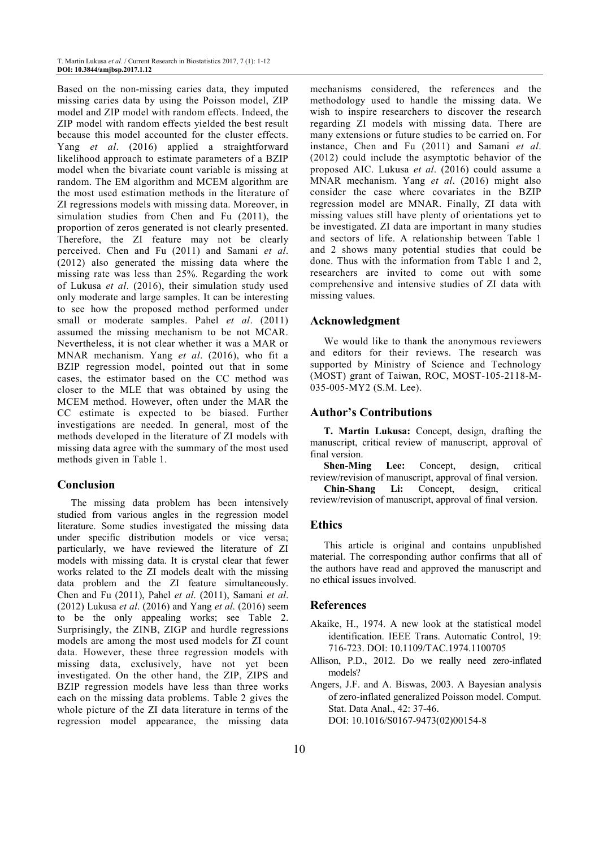Based on the non-missing caries data, they imputed missing caries data by using the Poisson model, ZIP model and ZIP model with random effects. Indeed, the ZIP model with random effects yielded the best result because this model accounted for the cluster effects. Yang *et al*. (2016) applied a straightforward likelihood approach to estimate parameters of a BZIP model when the bivariate count variable is missing at random. The EM algorithm and MCEM algorithm are the most used estimation methods in the literature of ZI regressions models with missing data. Moreover, in simulation studies from Chen and Fu (2011), the proportion of zeros generated is not clearly presented. Therefore, the ZI feature may not be clearly perceived. Chen and Fu (2011) and Samani *et al*. (2012) also generated the missing data where the missing rate was less than 25%. Regarding the work of Lukusa *et al*. (2016), their simulation study used only moderate and large samples. It can be interesting to see how the proposed method performed under small or moderate samples. Pahel *et al*. (2011) assumed the missing mechanism to be not MCAR. Nevertheless, it is not clear whether it was a MAR or MNAR mechanism. Yang *et al*. (2016), who fit a BZIP regression model, pointed out that in some cases, the estimator based on the CC method was closer to the MLE that was obtained by using the MCEM method. However, often under the MAR the CC estimate is expected to be biased. Further investigations are needed. In general, most of the methods developed in the literature of ZI models with missing data agree with the summary of the most used methods given in Table 1.

## **Conclusion**

The missing data problem has been intensively studied from various angles in the regression model literature. Some studies investigated the missing data under specific distribution models or vice versa; particularly, we have reviewed the literature of ZI models with missing data. It is crystal clear that fewer works related to the ZI models dealt with the missing data problem and the ZI feature simultaneously. Chen and Fu (2011), Pahel *et al*. (2011), Samani *et al*. (2012) Lukusa *et al*. (2016) and Yang *et al*. (2016) seem to be the only appealing works; see Table 2. Surprisingly, the ZINB, ZIGP and hurdle regressions models are among the most used models for ZI count data. However, these three regression models with missing data, exclusively, have not yet been investigated. On the other hand, the ZIP, ZIPS and BZIP regression models have less than three works each on the missing data problems. Table 2 gives the whole picture of the ZI data literature in terms of the regression model appearance, the missing data

mechanisms considered, the references and the methodology used to handle the missing data. We wish to inspire researchers to discover the research regarding ZI models with missing data. There are many extensions or future studies to be carried on. For instance, Chen and Fu (2011) and Samani *et al*. (2012) could include the asymptotic behavior of the proposed AIC. Lukusa *et al*. (2016) could assume a MNAR mechanism. Yang *et al*. (2016) might also consider the case where covariates in the BZIP regression model are MNAR. Finally, ZI data with missing values still have plenty of orientations yet to be investigated. ZI data are important in many studies and sectors of life. A relationship between Table 1 and 2 shows many potential studies that could be done. Thus with the information from Table 1 and 2, researchers are invited to come out with some comprehensive and intensive studies of ZI data with missing values.

## **Acknowledgment**

We would like to thank the anonymous reviewers and editors for their reviews. The research was supported by Ministry of Science and Technology (MOST) grant of Taiwan, ROC, MOST-105-2118-M-035-005-MY2 (S.M. Lee).

## **Author's Contributions**

**T. Martin Lukusa:** Concept, design, drafting the manuscript, critical review of manuscript, approval of final version.

**Shen-Ming Lee:** Concept, design, critical review/revision of manuscript, approval of final version.

**Chin-Shang Li:** Concept, design, critical review/revision of manuscript, approval of final version.

## **Ethics**

This article is original and contains unpublished material. The corresponding author confirms that all of the authors have read and approved the manuscript and no ethical issues involved.

## **References**

- Akaike, H., 1974. A new look at the statistical model identification. IEEE Trans. Automatic Control, 19: 716-723. DOI: 10.1109/TAC.1974.1100705
- Allison, P.D., 2012. Do we really need zero-inflated models?
- Angers, J.F. and A. Biswas, 2003. A Bayesian analysis of zero-inflated generalized Poisson model. Comput. Stat. Data Anal., 42: 37-46. DOI: 10.1016/S0167-9473(02)00154-8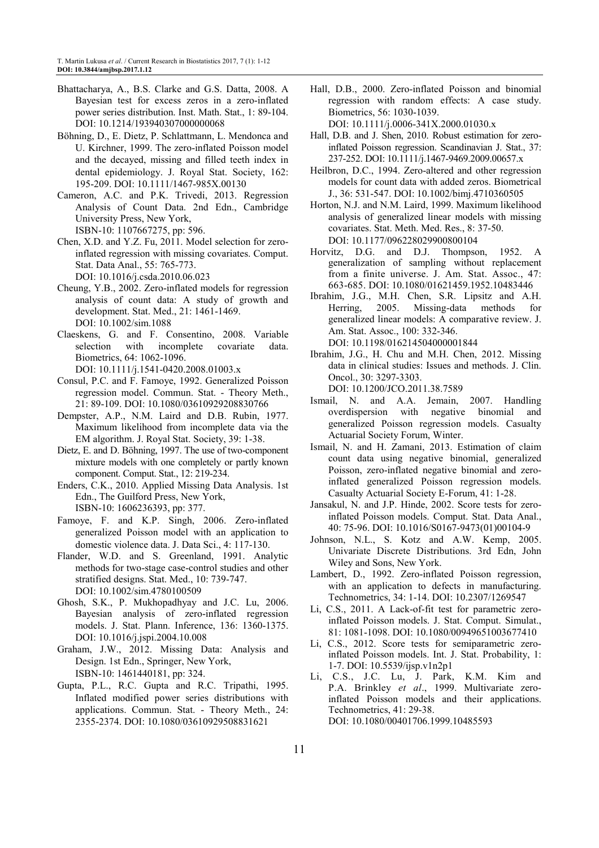- Bhattacharya, A., B.S. Clarke and G.S. Datta, 2008. A Bayesian test for excess zeros in a zero-inflated power series distribution. Inst. Math. Stat., 1: 89-104. DOI: 10.1214/193940307000000068
- Böhning, D., E. Dietz, P. Schlattmann, L. Mendonca and U. Kirchner, 1999. The zero-inflated Poisson model and the decayed, missing and filled teeth index in dental epidemiology. J. Royal Stat. Society, 162: 195-209. DOI: 10.1111/1467-985X.00130
- Cameron, A.C. and P.K. Trivedi, 2013. Regression Analysis of Count Data. 2nd Edn., Cambridge University Press, New York, ISBN-10: 1107667275, pp: 596.
- Chen, X.D. and Y.Z. Fu, 2011. Model selection for zeroinflated regression with missing covariates. Comput. Stat. Data Anal., 55: 765-773. DOI: 10.1016/j.csda.2010.06.023
- Cheung, Y.B., 2002. Zero-inflated models for regression analysis of count data: A study of growth and development. Stat. Med., 21: 1461-1469. DOI: 10.1002/sim.1088
- Claeskens, G. and F. Consentino, 2008. Variable selection with incomplete covariate data. Biometrics, 64: 1062-1096.
	- DOI: 10.1111/j.1541-0420.2008.01003.x
- Consul, P.C. and F. Famoye, 1992. Generalized Poisson regression model. Commun. Stat. - Theory Meth., 21: 89-109. DOI: 10.1080/03610929208830766
- Dempster, A.P., N.M. Laird and D.B. Rubin, 1977. Maximum likelihood from incomplete data via the EM algorithm. J. Royal Stat. Society, 39: 1-38.
- Dietz, E. and D. Böhning, 1997. The use of two-component mixture models with one completely or partly known component. Comput. Stat., 12: 219-234.
- Enders, C.K., 2010. Applied Missing Data Analysis. 1st Edn., The Guilford Press, New York, ISBN-10: 1606236393, pp: 377.
- Famoye, F. and K.P. Singh, 2006. Zero-inflated generalized Poisson model with an application to domestic violence data. J. Data Sci., 4: 117-130.
- Flander, W.D. and S. Greenland, 1991. Analytic methods for two-stage case-control studies and other stratified designs. Stat. Med., 10: 739-747. DOI: 10.1002/sim.4780100509
- Ghosh, S.K., P. Mukhopadhyay and J.C. Lu, 2006. Bayesian analysis of zero-inflated regression models. J. Stat. Plann. Inference, 136: 1360-1375. DOI: 10.1016/j.jspi.2004.10.008
- Graham, J.W., 2012. Missing Data: Analysis and Design. 1st Edn., Springer, New York, ISBN-10: 1461440181, pp: 324.
- Gupta, P.L., R.C. Gupta and R.C. Tripathi, 1995. Inflated modified power series distributions with applications. Commun. Stat. - Theory Meth., 24: 2355-2374. DOI: 10.1080/03610929508831621

Hall, D.B., 2000. Zero-inflated Poisson and binomial regression with random effects: A case study. Biometrics, 56: 1030-1039.

DOI: 10.1111/j.0006-341X.2000.01030.x

- Hall, D.B. and J. Shen, 2010. Robust estimation for zeroinflated Poisson regression. Scandinavian J. Stat., 37: 237-252. DOI: 10.1111/j.1467-9469.2009.00657.x
- Heilbron, D.C., 1994. Zero-altered and other regression models for count data with added zeros. Biometrical J., 36: 531-547. DOI: 10.1002/bimj.4710360505
- Horton, N.J. and N.M. Laird, 1999. Maximum likelihood analysis of generalized linear models with missing covariates. Stat. Meth. Med. Res., 8: 37-50. DOI: 10.1177/096228029900800104
- Horvitz, D.G. and D.J. Thompson, 1952. A generalization of sampling without replacement from a finite universe. J. Am. Stat. Assoc., 47: 663-685. DOI: 10.1080/01621459.1952.10483446
- Ibrahim, J.G., M.H. Chen, S.R. Lipsitz and A.H. Herring, 2005. Missing-data methods for generalized linear models: A comparative review. J. Am. Stat. Assoc., 100: 332-346. DOI: 10.1198/016214504000001844
- Ibrahim, J.G., H. Chu and M.H. Chen, 2012. Missing data in clinical studies: Issues and methods. J. Clin. Oncol., 30: 3297-3303.

DOI: 10.1200/JCO.2011.38.7589

- Ismail, N. and A.A. Jemain, 2007. Handling overdispersion with negative binomial and generalized Poisson regression models. Casualty Actuarial Society Forum, Winter.
- Ismail, N. and H. Zamani, 2013. Estimation of claim count data using negative binomial, generalized Poisson, zero-inflated negative binomial and zeroinflated generalized Poisson regression models. Casualty Actuarial Society E-Forum, 41: 1-28.
- Jansakul, N. and J.P. Hinde, 2002. Score tests for zeroinflated Poisson models. Comput. Stat. Data Anal., 40: 75-96. DOI: 10.1016/S0167-9473(01)00104-9
- Johnson, N.L., S. Kotz and A.W. Kemp, 2005. Univariate Discrete Distributions. 3rd Edn, John Wiley and Sons, New York.
- Lambert, D., 1992. Zero-inflated Poisson regression, with an application to defects in manufacturing. Technometrics, 34: 1-14. DOI: 10.2307/1269547
- Li, C.S., 2011. A Lack-of-fit test for parametric zeroinflated Poisson models. J. Stat. Comput. Simulat., 81: 1081-1098. DOI: 10.1080/00949651003677410
- Li, C.S., 2012. Score tests for semiparametric zeroinflated Poisson models. Int. J. Stat. Probability, 1: 1-7. DOI: 10.5539/ijsp.v1n2p1
- Li, C.S., J.C. Lu, J. Park, K.M. Kim and P.A. Brinkley *et al*., 1999. Multivariate zeroinflated Poisson models and their applications. Technometrics, 41: 29-38. DOI: 10.1080/00401706.1999.10485593